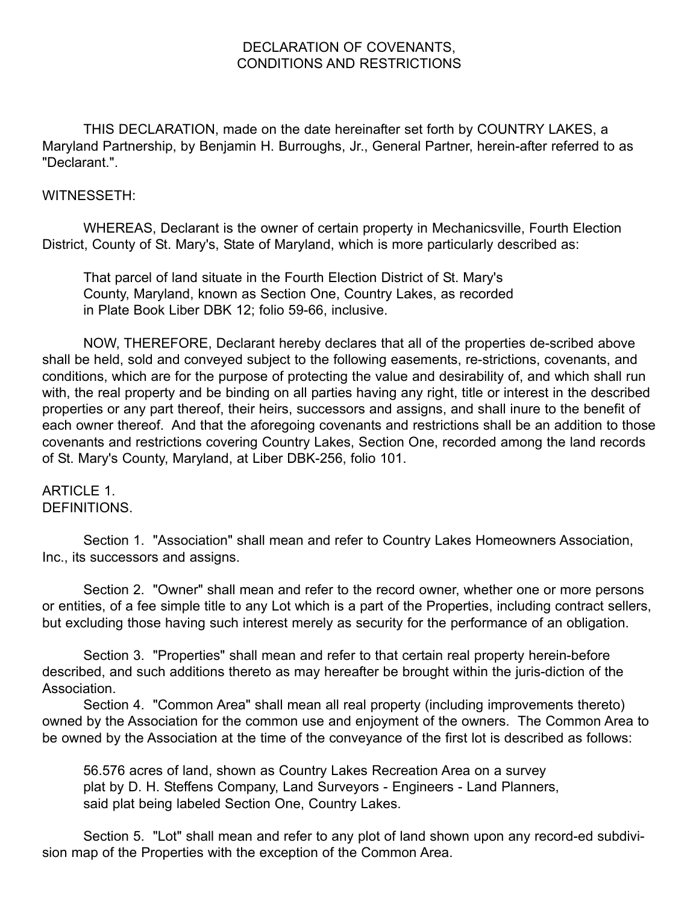#### DECLARATION OF COVENANTS, CONDITIONS AND RESTRICTIONS

THIS DECLARATION, made on the date hereinafter set forth by COUNTRY LAKES, a Maryland Partnership, by Benjamin H. Burroughs, Jr., General Partner, herein-after referred to as "Declarant.".

#### WITNESSETH:

WHEREAS, Declarant is the owner of certain property in Mechanicsville, Fourth Election District, County of St. Mary's, State of Maryland, which is more particularly described as:

That parcel of land situate in the Fourth Election District of St. Mary's County, Maryland, known as Section One, Country Lakes, as recorded in Plate Book Liber DBK 12; folio 59-66, inclusive.

NOW, THEREFORE, Declarant hereby declares that all of the properties de-scribed above shall be held, sold and conveyed subject to the following easements, re-strictions, covenants, and conditions, which are for the purpose of protecting the value and desirability of, and which shall run with, the real property and be binding on all parties having any right, title or interest in the described properties or any part thereof, their heirs, successors and assigns, and shall inure to the benefit of each owner thereof. And that the aforegoing covenants and restrictions shall be an addition to those covenants and restrictions covering Country Lakes, Section One, recorded among the land records of St. Mary's County, Maryland, at Liber DBK-256, folio 101.

## ARTICLE 1. DEFINITIONS.

Section 1. "Association" shall mean and refer to Country Lakes Homeowners Association, Inc., its successors and assigns.

Section 2. "Owner" shall mean and refer to the record owner, whether one or more persons or entities, of a fee simple title to any Lot which is a part of the Properties, including contract sellers, but excluding those having such interest merely as security for the performance of an obligation.

Section 3. "Properties" shall mean and refer to that certain real property herein-before described, and such additions thereto as may hereafter be brought within the juris-diction of the Association.

Section 4. "Common Area" shall mean all real property (including improvements thereto) owned by the Association for the common use and enjoyment of the owners. The Common Area to be owned by the Association at the time of the conveyance of the first lot is described as follows:

56.576 acres of land, shown as Country Lakes Recreation Area on a survey plat by D. H. Steffens Company, Land Surveyors - Engineers - Land Planners, said plat being labeled Section One, Country Lakes.

Section 5. "Lot" shall mean and refer to any plot of land shown upon any record-ed subdivision map of the Properties with the exception of the Common Area.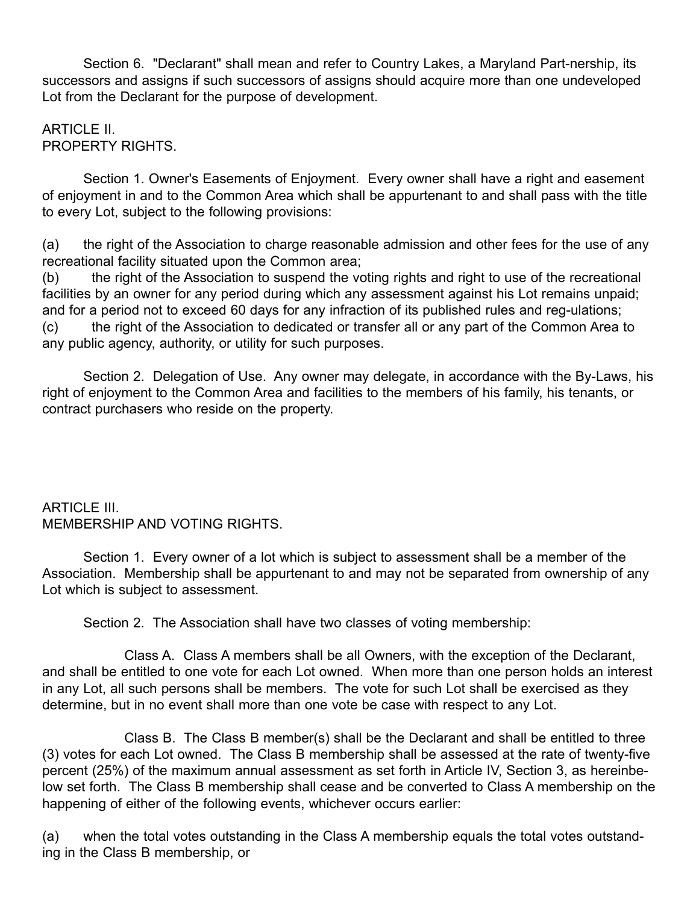Section 6. "Declarant" shall mean and refer to Country Lakes, a Maryland Part-nership, its successors and assigns if such successors of assigns should acquire more than one undeveloped Lot from the Declarant for the purpose of development.

## ARTICLE II. PROPERTY RIGHTS.

Section 1. Owner's Easements of Enjoyment. Every owner shall have a right and easement of enjoyment in and to the Common Area which shall be appurtenant to and shall pass with the title to every Lot, subject to the following provisions:

(a) the right of the Association to charge reasonable admission and other fees for the use of any recreational facility situated upon the Common area;

(b) the right of the Association to suspend the voting rights and right to use of the recreational facilities by an owner for any period during which any assessment against his Lot remains unpaid; and for a period not to exceed 60 days for any infraction of its published rules and reg-ulations; (c) the right of the Association to dedicated or transfer all or any part of the Common Area to any public agency, authority, or utility for such purposes.

Section 2. Delegation of Use. Any owner may delegate, in accordance with the By-Laws, his right of enjoyment to the Common Area and facilities to the members of his family, his tenants, or contract purchasers who reside on the property.

## ARTICLE III. MEMBERSHIP AND VOTING RIGHTS.

Section 1. Every owner of a lot which is subject to assessment shall be a member of the Association. Membership shall be appurtenant to and may not be separated from ownership of any Lot which is subject to assessment.

Section 2. The Association shall have two classes of voting membership:

Class A. Class A members shall be all Owners, with the exception of the Declarant, and shall be entitled to one vote for each Lot owned. When more than one person holds an interest in any Lot, all such persons shall be members. The vote for such Lot shall be exercised as they determine, but in no event shall more than one vote be case with respect to any Lot.

Class B. The Class B member(s) shall be the Declarant and shall be entitled to three (3) votes for each Lot owned. The Class B membership shall be assessed at the rate of twenty-five percent (25%) of the maximum annual assessment as set forth in Article IV, Section 3, as hereinbelow set forth. The Class B membership shall cease and be converted to Class A membership on the happening of either of the following events, whichever occurs earlier:

(a) when the total votes outstanding in the Class A membership equals the total votes outstanding in the Class B membership, or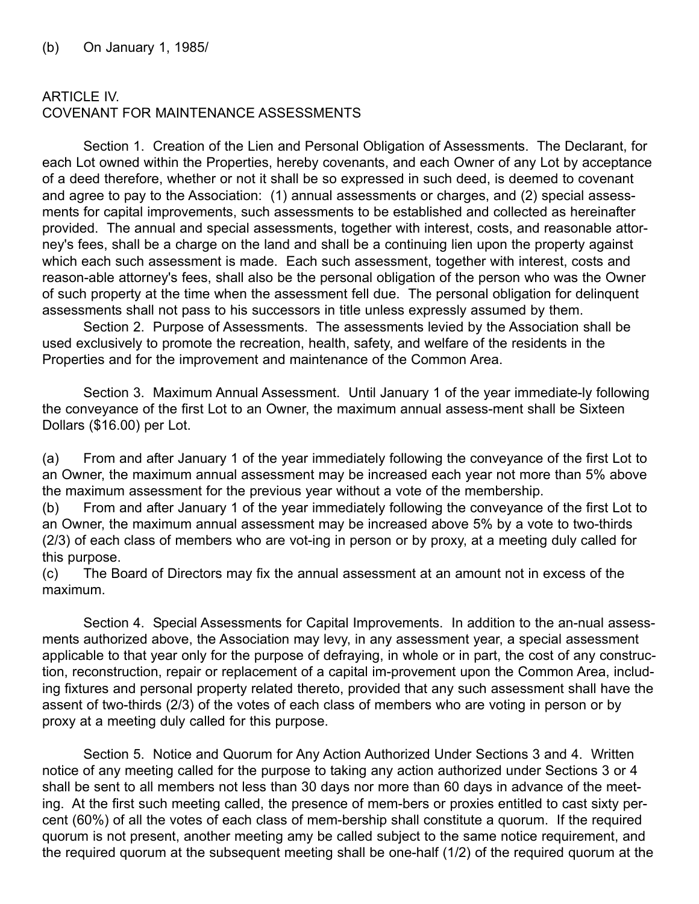# ARTICLE IV. COVENANT FOR MAINTENANCE ASSESSMENTS

Section 1. Creation of the Lien and Personal Obligation of Assessments. The Declarant, for each Lot owned within the Properties, hereby covenants, and each Owner of any Lot by acceptance of a deed therefore, whether or not it shall be so expressed in such deed, is deemed to covenant and agree to pay to the Association: (1) annual assessments or charges, and (2) special assessments for capital improvements, such assessments to be established and collected as hereinafter provided. The annual and special assessments, together with interest, costs, and reasonable attorney's fees, shall be a charge on the land and shall be a continuing lien upon the property against which each such assessment is made. Each such assessment, together with interest, costs and reason-able attorney's fees, shall also be the personal obligation of the person who was the Owner of such property at the time when the assessment fell due. The personal obligation for delinquent assessments shall not pass to his successors in title unless expressly assumed by them.

Section 2. Purpose of Assessments. The assessments levied by the Association shall be used exclusively to promote the recreation, health, safety, and welfare of the residents in the Properties and for the improvement and maintenance of the Common Area.

Section 3. Maximum Annual Assessment. Until January 1 of the year immediate-ly following the conveyance of the first Lot to an Owner, the maximum annual assess-ment shall be Sixteen Dollars (\$16.00) per Lot.

(a) From and after January 1 of the year immediately following the conveyance of the first Lot to an Owner, the maximum annual assessment may be increased each year not more than 5% above the maximum assessment for the previous year without a vote of the membership.

(b) From and after January 1 of the year immediately following the conveyance of the first Lot to an Owner, the maximum annual assessment may be increased above 5% by a vote to two-thirds (2/3) of each class of members who are vot-ing in person or by proxy, at a meeting duly called for this purpose.

(c) The Board of Directors may fix the annual assessment at an amount not in excess of the maximum.

Section 4. Special Assessments for Capital Improvements. In addition to the an-nual assessments authorized above, the Association may levy, in any assessment year, a special assessment applicable to that year only for the purpose of defraying, in whole or in part, the cost of any construction, reconstruction, repair or replacement of a capital im-provement upon the Common Area, including fixtures and personal property related thereto, provided that any such assessment shall have the assent of two-thirds (2/3) of the votes of each class of members who are voting in person or by proxy at a meeting duly called for this purpose.

Section 5. Notice and Quorum for Any Action Authorized Under Sections 3 and 4. Written notice of any meeting called for the purpose to taking any action authorized under Sections 3 or 4 shall be sent to all members not less than 30 days nor more than 60 days in advance of the meeting. At the first such meeting called, the presence of mem-bers or proxies entitled to cast sixty percent (60%) of all the votes of each class of mem-bership shall constitute a quorum. If the required quorum is not present, another meeting amy be called subject to the same notice requirement, and the required quorum at the subsequent meeting shall be one-half (1/2) of the required quorum at the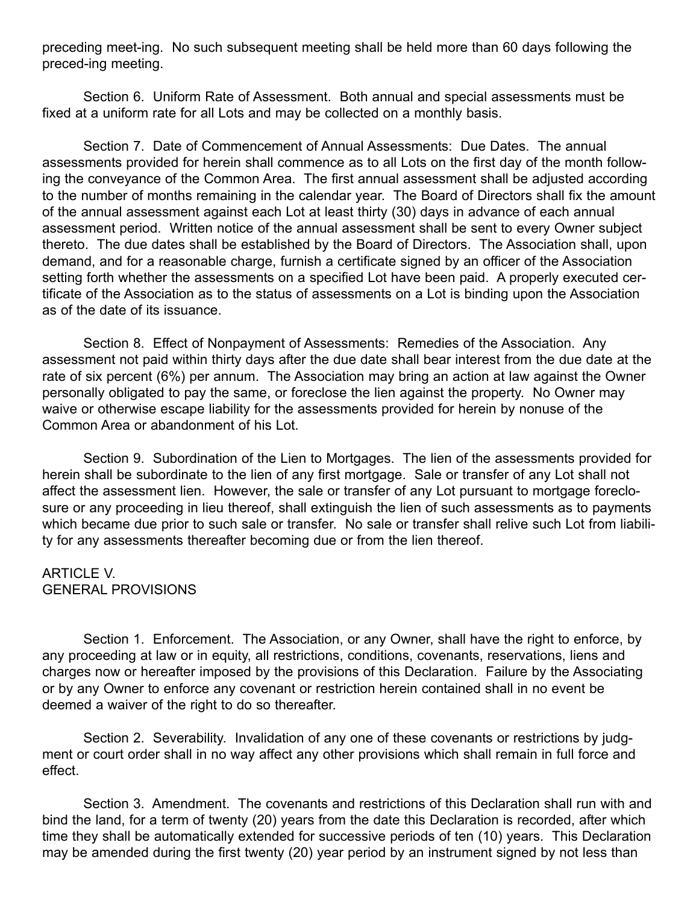preceding meet-ing. No such subsequent meeting shall be held more than 60 days following the preced-ing meeting.

Section 6. Uniform Rate of Assessment. Both annual and special assessments must be fixed at a uniform rate for all Lots and may be collected on a monthly basis.

Section 7. Date of Commencement of Annual Assessments: Due Dates. The annual assessments provided for herein shall commence as to all Lots on the first day of the month following the conveyance of the Common Area. The first annual assessment shall be adjusted according to the number of months remaining in the calendar year. The Board of Directors shall fix the amount of the annual assessment against each Lot at least thirty (30) days in advance of each annual assessment period. Written notice of the annual assessment shall be sent to every Owner subject thereto. The due dates shall be established by the Board of Directors. The Association shall, upon demand, and for a reasonable charge, furnish a certificate signed by an officer of the Association setting forth whether the assessments on a specified Lot have been paid. A properly executed certificate of the Association as to the status of assessments on a Lot is binding upon the Association as of the date of its issuance.

Section 8. Effect of Nonpayment of Assessments: Remedies of the Association. Any assessment not paid within thirty days after the due date shall bear interest from the due date at the rate of six percent (6%) per annum. The Association may bring an action at law against the Owner personally obligated to pay the same, or foreclose the lien against the property. No Owner may waive or otherwise escape liability for the assessments provided for herein by nonuse of the Common Area or abandonment of his Lot.

Section 9. Subordination of the Lien to Mortgages. The lien of the assessments provided for herein shall be subordinate to the lien of any first mortgage. Sale or transfer of any Lot shall not affect the assessment lien. However, the sale or transfer of any Lot pursuant to mortgage foreclosure or any proceeding in lieu thereof, shall extinguish the lien of such assessments as to payments which became due prior to such sale or transfer. No sale or transfer shall relive such Lot from liability for any assessments thereafter becoming due or from the lien thereof.

### **ARTICLE V.** GENERAL PROVISIONS

Section 1. Enforcement. The Association, or any Owner, shall have the right to enforce, by any proceeding at law or in equity, all restrictions, conditions, covenants, reservations, liens and charges now or hereafter imposed by the provisions of this Declaration. Failure by the Associating or by any Owner to enforce any covenant or restriction herein contained shall in no event be deemed a waiver of the right to do so thereafter.

Section 2. Severability. Invalidation of any one of these covenants or restrictions by judgment or court order shall in no way affect any other provisions which shall remain in full force and effect.

Section 3. Amendment. The covenants and restrictions of this Declaration shall run with and bind the land, for a term of twenty (20) years from the date this Declaration is recorded, after which time they shall be automatically extended for successive periods of ten (10) years. This Declaration may be amended during the first twenty (20) year period by an instrument signed by not less than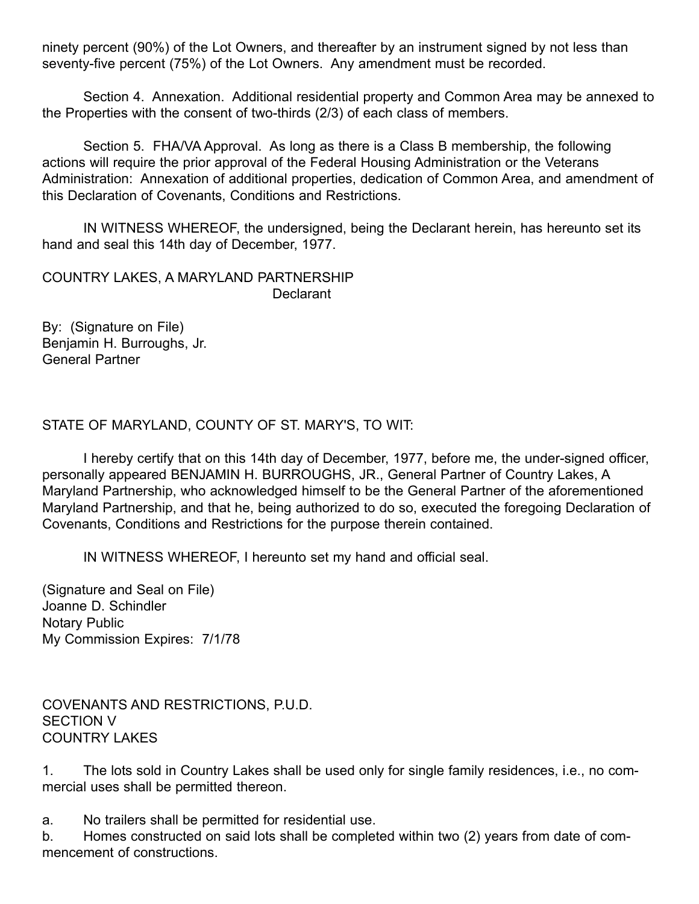ninety percent (90%) of the Lot Owners, and thereafter by an instrument signed by not less than seventy-five percent (75%) of the Lot Owners. Any amendment must be recorded.

Section 4. Annexation. Additional residential property and Common Area may be annexed to the Properties with the consent of two-thirds (2/3) of each class of members.

Section 5. FHA/VA Approval. As long as there is a Class B membership, the following actions will require the prior approval of the Federal Housing Administration or the Veterans Administration: Annexation of additional properties, dedication of Common Area, and amendment of this Declaration of Covenants, Conditions and Restrictions.

IN WITNESS WHEREOF, the undersigned, being the Declarant herein, has hereunto set its hand and seal this 14th day of December, 1977.

COUNTRY LAKES, A MARYLAND PARTNERSHIP **Declarant** 

By: (Signature on File) Benjamin H. Burroughs, Jr. General Partner

STATE OF MARYLAND, COUNTY OF ST. MARY'S, TO WIT:

I hereby certify that on this 14th day of December, 1977, before me, the under-signed officer, personally appeared BENJAMIN H. BURROUGHS, JR., General Partner of Country Lakes, A Maryland Partnership, who acknowledged himself to be the General Partner of the aforementioned Maryland Partnership, and that he, being authorized to do so, executed the foregoing Declaration of Covenants, Conditions and Restrictions for the purpose therein contained.

IN WITNESS WHEREOF, I hereunto set my hand and official seal.

(Signature and Seal on File) Joanne D. Schindler Notary Public My Commission Expires: 7/1/78

COVENANTS AND RESTRICTIONS, P.U.D. SECTION V COUNTRY LAKES

1. The lots sold in Country Lakes shall be used only for single family residences, i.e., no commercial uses shall be permitted thereon.

a. No trailers shall be permitted for residential use.

b. Homes constructed on said lots shall be completed within two (2) years from date of commencement of constructions.